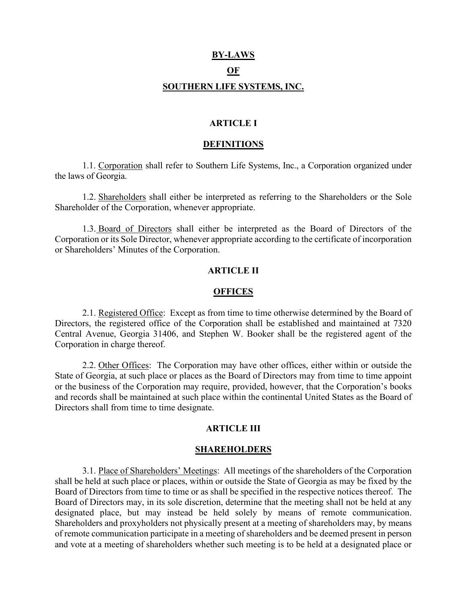# **BY-LAWS OF SOUTHERN LIFE SYSTEMS, INC.**

#### **ARTICLE I**

#### **DEFINITIONS**

1.1. Corporation shall refer to Southern Life Systems, Inc., a Corporation organized under the laws of Georgia.

1.2. Shareholders shall either be interpreted as referring to the Shareholders or the Sole Shareholder of the Corporation, whenever appropriate.

1.3. Board of Directors shall either be interpreted as the Board of Directors of the Corporation or its Sole Director, whenever appropriate according to the certificate of incorporation or Shareholders' Minutes of the Corporation.

#### **ARTICLE II**

#### **OFFICES**

2.1. Registered Office: Except as from time to time otherwise determined by the Board of Directors, the registered office of the Corporation shall be established and maintained at 7320 Central Avenue, Georgia 31406, and Stephen W. Booker shall be the registered agent of the Corporation in charge thereof.

2.2. Other Offices: The Corporation may have other offices, either within or outside the State of Georgia, at such place or places as the Board of Directors may from time to time appoint or the business of the Corporation may require, provided, however, that the Corporation's books and records shall be maintained at such place within the continental United States as the Board of Directors shall from time to time designate.

#### **ARTICLE III**

#### **SHAREHOLDERS**

3.1. Place of Shareholders' Meetings: All meetings of the shareholders of the Corporation shall be held at such place or places, within or outside the State of Georgia as may be fixed by the Board of Directors from time to time or as shall be specified in the respective notices thereof. The Board of Directors may, in its sole discretion, determine that the meeting shall not be held at any designated place, but may instead be held solely by means of remote communication. Shareholders and proxyholders not physically present at a meeting of shareholders may, by means of remote communication participate in a meeting of shareholders and be deemed present in person and vote at a meeting of shareholders whether such meeting is to be held at a designated place or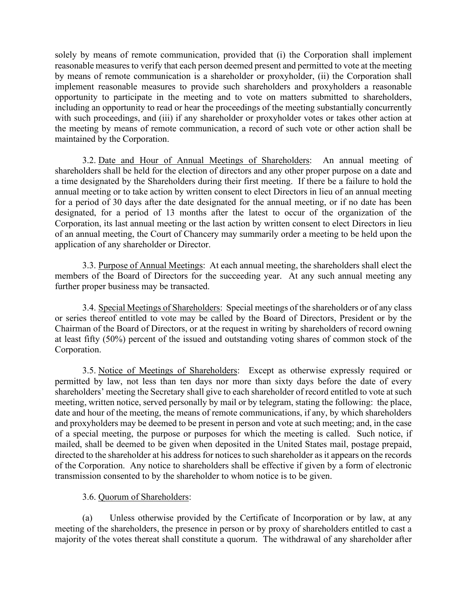solely by means of remote communication, provided that (i) the Corporation shall implement reasonable measures to verify that each person deemed present and permitted to vote at the meeting by means of remote communication is a shareholder or proxyholder, (ii) the Corporation shall implement reasonable measures to provide such shareholders and proxyholders a reasonable opportunity to participate in the meeting and to vote on matters submitted to shareholders, including an opportunity to read or hear the proceedings of the meeting substantially concurrently with such proceedings, and (iii) if any shareholder or proxyholder votes or takes other action at the meeting by means of remote communication, a record of such vote or other action shall be maintained by the Corporation.

3.2. Date and Hour of Annual Meetings of Shareholders: An annual meeting of shareholders shall be held for the election of directors and any other proper purpose on a date and a time designated by the Shareholders during their first meeting. If there be a failure to hold the annual meeting or to take action by written consent to elect Directors in lieu of an annual meeting for a period of 30 days after the date designated for the annual meeting, or if no date has been designated, for a period of 13 months after the latest to occur of the organization of the Corporation, its last annual meeting or the last action by written consent to elect Directors in lieu of an annual meeting, the Court of Chancery may summarily order a meeting to be held upon the application of any shareholder or Director.

3.3. Purpose of Annual Meetings: At each annual meeting, the shareholders shall elect the members of the Board of Directors for the succeeding year. At any such annual meeting any further proper business may be transacted.

3.4. Special Meetings of Shareholders: Special meetings of the shareholders or of any class or series thereof entitled to vote may be called by the Board of Directors, President or by the Chairman of the Board of Directors, or at the request in writing by shareholders of record owning at least fifty (50%) percent of the issued and outstanding voting shares of common stock of the Corporation.

3.5. Notice of Meetings of Shareholders: Except as otherwise expressly required or permitted by law, not less than ten days nor more than sixty days before the date of every shareholders' meeting the Secretary shall give to each shareholder of record entitled to vote at such meeting, written notice, served personally by mail or by telegram, stating the following: the place, date and hour of the meeting, the means of remote communications, if any, by which shareholders and proxyholders may be deemed to be present in person and vote at such meeting; and, in the case of a special meeting, the purpose or purposes for which the meeting is called. Such notice, if mailed, shall be deemed to be given when deposited in the United States mail, postage prepaid, directed to the shareholder at his address for notices to such shareholder as it appears on the records of the Corporation. Any notice to shareholders shall be effective if given by a form of electronic transmission consented to by the shareholder to whom notice is to be given.

# 3.6. Quorum of Shareholders:

(a) Unless otherwise provided by the Certificate of Incorporation or by law, at any meeting of the shareholders, the presence in person or by proxy of shareholders entitled to cast a majority of the votes thereat shall constitute a quorum. The withdrawal of any shareholder after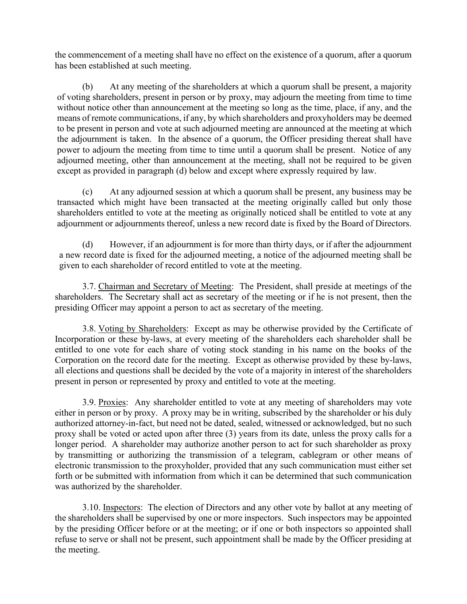the commencement of a meeting shall have no effect on the existence of a quorum, after a quorum has been established at such meeting.

(b) At any meeting of the shareholders at which a quorum shall be present, a majority of voting shareholders, present in person or by proxy, may adjourn the meeting from time to time without notice other than announcement at the meeting so long as the time, place, if any, and the means of remote communications, if any, by which shareholders and proxyholders may be deemed to be present in person and vote at such adjourned meeting are announced at the meeting at which the adjournment is taken. In the absence of a quorum, the Officer presiding thereat shall have power to adjourn the meeting from time to time until a quorum shall be present. Notice of any adjourned meeting, other than announcement at the meeting, shall not be required to be given except as provided in paragraph (d) below and except where expressly required by law.

(c) At any adjourned session at which a quorum shall be present, any business may be transacted which might have been transacted at the meeting originally called but only those shareholders entitled to vote at the meeting as originally noticed shall be entitled to vote at any adjournment or adjournments thereof, unless a new record date is fixed by the Board of Directors.

(d) However, if an adjournment is for more than thirty days, or if after the adjournment a new record date is fixed for the adjourned meeting, a notice of the adjourned meeting shall be given to each shareholder of record entitled to vote at the meeting.

3.7. Chairman and Secretary of Meeting: The President, shall preside at meetings of the shareholders. The Secretary shall act as secretary of the meeting or if he is not present, then the presiding Officer may appoint a person to act as secretary of the meeting.

3.8. Voting by Shareholders: Except as may be otherwise provided by the Certificate of Incorporation or these by-laws, at every meeting of the shareholders each shareholder shall be entitled to one vote for each share of voting stock standing in his name on the books of the Corporation on the record date for the meeting. Except as otherwise provided by these by-laws, all elections and questions shall be decided by the vote of a majority in interest of the shareholders present in person or represented by proxy and entitled to vote at the meeting.

3.9. Proxies: Any shareholder entitled to vote at any meeting of shareholders may vote either in person or by proxy. A proxy may be in writing, subscribed by the shareholder or his duly authorized attorney-in-fact, but need not be dated, sealed, witnessed or acknowledged, but no such proxy shall be voted or acted upon after three (3) years from its date, unless the proxy calls for a longer period. A shareholder may authorize another person to act for such shareholder as proxy by transmitting or authorizing the transmission of a telegram, cablegram or other means of electronic transmission to the proxyholder, provided that any such communication must either set forth or be submitted with information from which it can be determined that such communication was authorized by the shareholder.

3.10. Inspectors: The election of Directors and any other vote by ballot at any meeting of the shareholders shall be supervised by one or more inspectors. Such inspectors may be appointed by the presiding Officer before or at the meeting; or if one or both inspectors so appointed shall refuse to serve or shall not be present, such appointment shall be made by the Officer presiding at the meeting.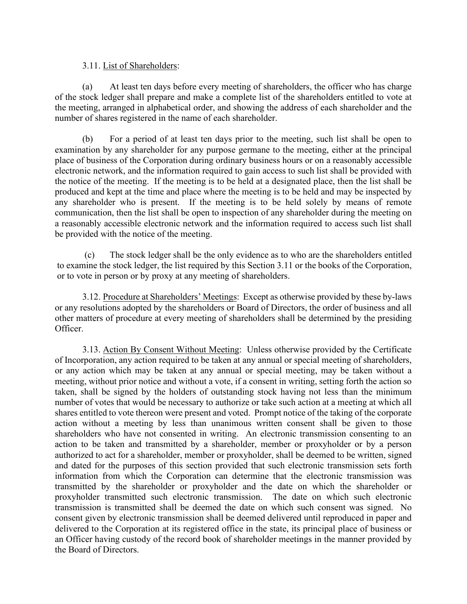#### 3.11. List of Shareholders:

(a) At least ten days before every meeting of shareholders, the officer who has charge of the stock ledger shall prepare and make a complete list of the shareholders entitled to vote at the meeting, arranged in alphabetical order, and showing the address of each shareholder and the number of shares registered in the name of each shareholder.

(b) For a period of at least ten days prior to the meeting, such list shall be open to examination by any shareholder for any purpose germane to the meeting, either at the principal place of business of the Corporation during ordinary business hours or on a reasonably accessible electronic network, and the information required to gain access to such list shall be provided with the notice of the meeting. If the meeting is to be held at a designated place, then the list shall be produced and kept at the time and place where the meeting is to be held and may be inspected by any shareholder who is present. If the meeting is to be held solely by means of remote communication, then the list shall be open to inspection of any shareholder during the meeting on a reasonably accessible electronic network and the information required to access such list shall be provided with the notice of the meeting.

(c) The stock ledger shall be the only evidence as to who are the shareholders entitled to examine the stock ledger, the list required by this Section 3.11 or the books of the Corporation, or to vote in person or by proxy at any meeting of shareholders.

3.12. Procedure at Shareholders' Meetings: Except as otherwise provided by these by-laws or any resolutions adopted by the shareholders or Board of Directors, the order of business and all other matters of procedure at every meeting of shareholders shall be determined by the presiding Officer.

3.13. Action By Consent Without Meeting: Unless otherwise provided by the Certificate of Incorporation, any action required to be taken at any annual or special meeting of shareholders, or any action which may be taken at any annual or special meeting, may be taken without a meeting, without prior notice and without a vote, if a consent in writing, setting forth the action so taken, shall be signed by the holders of outstanding stock having not less than the minimum number of votes that would be necessary to authorize or take such action at a meeting at which all shares entitled to vote thereon were present and voted. Prompt notice of the taking of the corporate action without a meeting by less than unanimous written consent shall be given to those shareholders who have not consented in writing. An electronic transmission consenting to an action to be taken and transmitted by a shareholder, member or proxyholder or by a person authorized to act for a shareholder, member or proxyholder, shall be deemed to be written, signed and dated for the purposes of this section provided that such electronic transmission sets forth information from which the Corporation can determine that the electronic transmission was transmitted by the shareholder or proxyholder and the date on which the shareholder or proxyholder transmitted such electronic transmission. The date on which such electronic transmission is transmitted shall be deemed the date on which such consent was signed. No consent given by electronic transmission shall be deemed delivered until reproduced in paper and delivered to the Corporation at its registered office in the state, its principal place of business or an Officer having custody of the record book of shareholder meetings in the manner provided by the Board of Directors.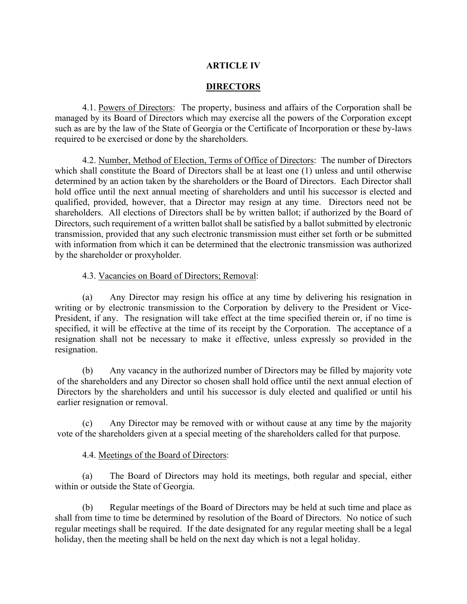# **ARTICLE IV**

## **DIRECTORS**

4.1. Powers of Directors: The property, business and affairs of the Corporation shall be managed by its Board of Directors which may exercise all the powers of the Corporation except such as are by the law of the State of Georgia or the Certificate of Incorporation or these by-laws required to be exercised or done by the shareholders.

4.2. Number, Method of Election, Terms of Office of Directors: The number of Directors which shall constitute the Board of Directors shall be at least one (1) unless and until otherwise determined by an action taken by the shareholders or the Board of Directors. Each Director shall hold office until the next annual meeting of shareholders and until his successor is elected and qualified, provided, however, that a Director may resign at any time. Directors need not be shareholders. All elections of Directors shall be by written ballot; if authorized by the Board of Directors, such requirement of a written ballot shall be satisfied by a ballot submitted by electronic transmission, provided that any such electronic transmission must either set forth or be submitted with information from which it can be determined that the electronic transmission was authorized by the shareholder or proxyholder.

## 4.3. Vacancies on Board of Directors; Removal:

(a) Any Director may resign his office at any time by delivering his resignation in writing or by electronic transmission to the Corporation by delivery to the President or Vice-President, if any. The resignation will take effect at the time specified therein or, if no time is specified, it will be effective at the time of its receipt by the Corporation. The acceptance of a resignation shall not be necessary to make it effective, unless expressly so provided in the resignation.

(b) Any vacancy in the authorized number of Directors may be filled by majority vote of the shareholders and any Director so chosen shall hold office until the next annual election of Directors by the shareholders and until his successor is duly elected and qualified or until his earlier resignation or removal.

(c) Any Director may be removed with or without cause at any time by the majority vote of the shareholders given at a special meeting of the shareholders called for that purpose.

## 4.4. Meetings of the Board of Directors:

(a) The Board of Directors may hold its meetings, both regular and special, either within or outside the State of Georgia.

(b) Regular meetings of the Board of Directors may be held at such time and place as shall from time to time be determined by resolution of the Board of Directors. No notice of such regular meetings shall be required. If the date designated for any regular meeting shall be a legal holiday, then the meeting shall be held on the next day which is not a legal holiday.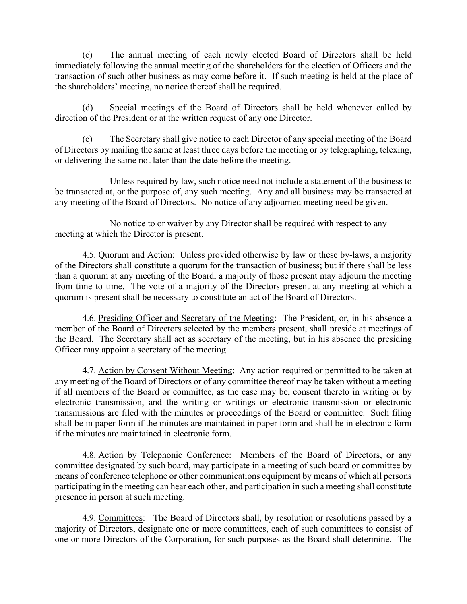(c) The annual meeting of each newly elected Board of Directors shall be held immediately following the annual meeting of the shareholders for the election of Officers and the transaction of such other business as may come before it. If such meeting is held at the place of the shareholders' meeting, no notice thereof shall be required.

(d) Special meetings of the Board of Directors shall be held whenever called by direction of the President or at the written request of any one Director.

(e) The Secretary shall give notice to each Director of any special meeting of the Board of Directors by mailing the same at least three days before the meeting or by telegraphing, telexing, or delivering the same not later than the date before the meeting.

Unless required by law, such notice need not include a statement of the business to be transacted at, or the purpose of, any such meeting. Any and all business may be transacted at any meeting of the Board of Directors. No notice of any adjourned meeting need be given.

No notice to or waiver by any Director shall be required with respect to any meeting at which the Director is present.

4.5. Quorum and Action: Unless provided otherwise by law or these by-laws, a majority of the Directors shall constitute a quorum for the transaction of business; but if there shall be less than a quorum at any meeting of the Board, a majority of those present may adjourn the meeting from time to time. The vote of a majority of the Directors present at any meeting at which a quorum is present shall be necessary to constitute an act of the Board of Directors.

4.6. Presiding Officer and Secretary of the Meeting: The President, or, in his absence a member of the Board of Directors selected by the members present, shall preside at meetings of the Board. The Secretary shall act as secretary of the meeting, but in his absence the presiding Officer may appoint a secretary of the meeting.

4.7. Action by Consent Without Meeting: Any action required or permitted to be taken at any meeting of the Board of Directors or of any committee thereof may be taken without a meeting if all members of the Board or committee, as the case may be, consent thereto in writing or by electronic transmission, and the writing or writings or electronic transmission or electronic transmissions are filed with the minutes or proceedings of the Board or committee. Such filing shall be in paper form if the minutes are maintained in paper form and shall be in electronic form if the minutes are maintained in electronic form.

4.8. Action by Telephonic Conference: Members of the Board of Directors, or any committee designated by such board, may participate in a meeting of such board or committee by means of conference telephone or other communications equipment by means of which all persons participating in the meeting can hear each other, and participation in such a meeting shall constitute presence in person at such meeting.

4.9. Committees: The Board of Directors shall, by resolution or resolutions passed by a majority of Directors, designate one or more committees, each of such committees to consist of one or more Directors of the Corporation, for such purposes as the Board shall determine. The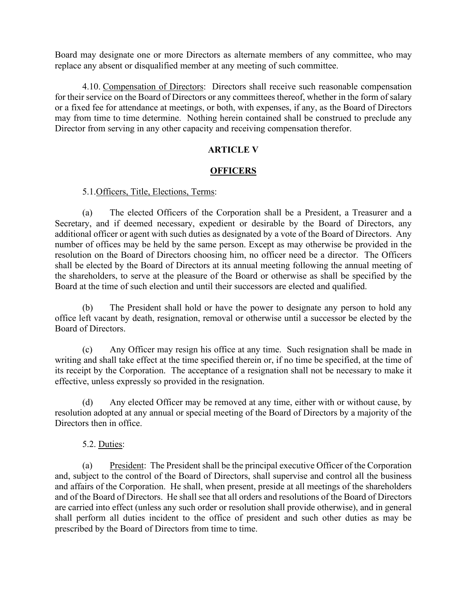Board may designate one or more Directors as alternate members of any committee, who may replace any absent or disqualified member at any meeting of such committee.

4.10. Compensation of Directors: Directors shall receive such reasonable compensation for their service on the Board of Directors or any committees thereof, whether in the form of salary or a fixed fee for attendance at meetings, or both, with expenses, if any, as the Board of Directors may from time to time determine. Nothing herein contained shall be construed to preclude any Director from serving in any other capacity and receiving compensation therefor.

## **ARTICLE V**

## **OFFICERS**

5.1.Officers, Title, Elections, Terms:

(a) The elected Officers of the Corporation shall be a President, a Treasurer and a Secretary, and if deemed necessary, expedient or desirable by the Board of Directors, any additional officer or agent with such duties as designated by a vote of the Board of Directors. Any number of offices may be held by the same person. Except as may otherwise be provided in the resolution on the Board of Directors choosing him, no officer need be a director. The Officers shall be elected by the Board of Directors at its annual meeting following the annual meeting of the shareholders, to serve at the pleasure of the Board or otherwise as shall be specified by the Board at the time of such election and until their successors are elected and qualified.

(b) The President shall hold or have the power to designate any person to hold any office left vacant by death, resignation, removal or otherwise until a successor be elected by the Board of Directors.

(c) Any Officer may resign his office at any time. Such resignation shall be made in writing and shall take effect at the time specified therein or, if no time be specified, at the time of its receipt by the Corporation. The acceptance of a resignation shall not be necessary to make it effective, unless expressly so provided in the resignation.

(d) Any elected Officer may be removed at any time, either with or without cause, by resolution adopted at any annual or special meeting of the Board of Directors by a majority of the Directors then in office.

## 5.2. Duties:

(a) President: The President shall be the principal executive Officer of the Corporation and, subject to the control of the Board of Directors, shall supervise and control all the business and affairs of the Corporation. He shall, when present, preside at all meetings of the shareholders and of the Board of Directors. He shall see that all orders and resolutions of the Board of Directors are carried into effect (unless any such order or resolution shall provide otherwise), and in general shall perform all duties incident to the office of president and such other duties as may be prescribed by the Board of Directors from time to time.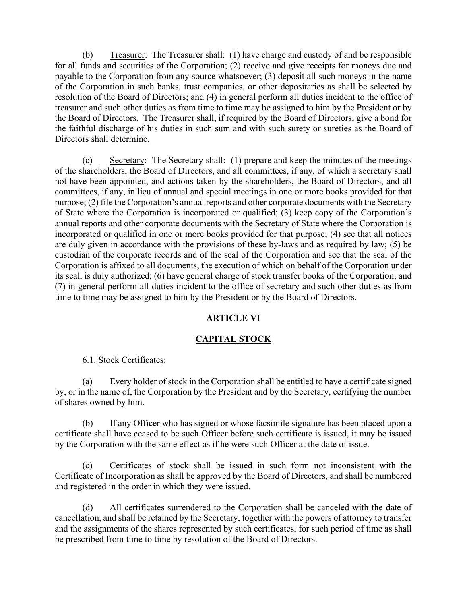(b) Treasurer: The Treasurer shall: (1) have charge and custody of and be responsible for all funds and securities of the Corporation; (2) receive and give receipts for moneys due and payable to the Corporation from any source whatsoever; (3) deposit all such moneys in the name of the Corporation in such banks, trust companies, or other depositaries as shall be selected by resolution of the Board of Directors; and (4) in general perform all duties incident to the office of treasurer and such other duties as from time to time may be assigned to him by the President or by the Board of Directors. The Treasurer shall, if required by the Board of Directors, give a bond for the faithful discharge of his duties in such sum and with such surety or sureties as the Board of Directors shall determine.

(c) Secretary: The Secretary shall: (1) prepare and keep the minutes of the meetings of the shareholders, the Board of Directors, and all committees, if any, of which a secretary shall not have been appointed, and actions taken by the shareholders, the Board of Directors, and all committees, if any, in lieu of annual and special meetings in one or more books provided for that purpose; (2) file the Corporation's annual reports and other corporate documents with the Secretary of State where the Corporation is incorporated or qualified; (3) keep copy of the Corporation's annual reports and other corporate documents with the Secretary of State where the Corporation is incorporated or qualified in one or more books provided for that purpose; (4) see that all notices are duly given in accordance with the provisions of these by-laws and as required by law; (5) be custodian of the corporate records and of the seal of the Corporation and see that the seal of the Corporation is affixed to all documents, the execution of which on behalf of the Corporation under its seal, is duly authorized; (6) have general charge of stock transfer books of the Corporation; and (7) in general perform all duties incident to the office of secretary and such other duties as from time to time may be assigned to him by the President or by the Board of Directors.

# **ARTICLE VI**

# **CAPITAL STOCK**

## 6.1. Stock Certificates:

(a) Every holder of stock in the Corporation shall be entitled to have a certificate signed by, or in the name of, the Corporation by the President and by the Secretary, certifying the number of shares owned by him.

(b) If any Officer who has signed or whose facsimile signature has been placed upon a certificate shall have ceased to be such Officer before such certificate is issued, it may be issued by the Corporation with the same effect as if he were such Officer at the date of issue.

(c) Certificates of stock shall be issued in such form not inconsistent with the Certificate of Incorporation as shall be approved by the Board of Directors, and shall be numbered and registered in the order in which they were issued.

(d) All certificates surrendered to the Corporation shall be canceled with the date of cancellation, and shall be retained by the Secretary, together with the powers of attorney to transfer and the assignments of the shares represented by such certificates, for such period of time as shall be prescribed from time to time by resolution of the Board of Directors.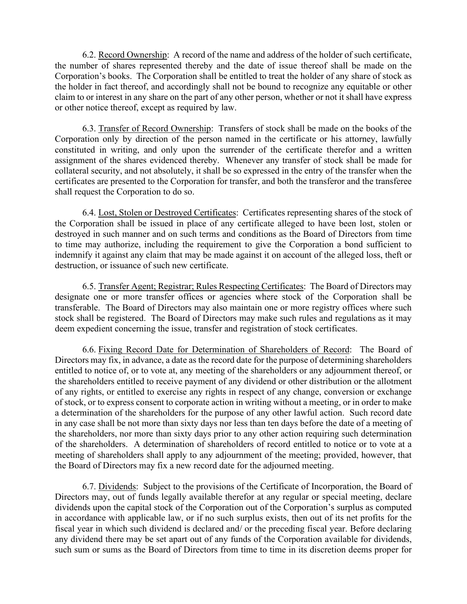6.2. Record Ownership: A record of the name and address of the holder of such certificate, the number of shares represented thereby and the date of issue thereof shall be made on the Corporation's books. The Corporation shall be entitled to treat the holder of any share of stock as the holder in fact thereof, and accordingly shall not be bound to recognize any equitable or other claim to or interest in any share on the part of any other person, whether or not it shall have express or other notice thereof, except as required by law.

6.3. Transfer of Record Ownership: Transfers of stock shall be made on the books of the Corporation only by direction of the person named in the certificate or his attorney, lawfully constituted in writing, and only upon the surrender of the certificate therefor and a written assignment of the shares evidenced thereby. Whenever any transfer of stock shall be made for collateral security, and not absolutely, it shall be so expressed in the entry of the transfer when the certificates are presented to the Corporation for transfer, and both the transferor and the transferee shall request the Corporation to do so.

6.4. Lost, Stolen or Destroyed Certificates: Certificates representing shares of the stock of the Corporation shall be issued in place of any certificate alleged to have been lost, stolen or destroyed in such manner and on such terms and conditions as the Board of Directors from time to time may authorize, including the requirement to give the Corporation a bond sufficient to indemnify it against any claim that may be made against it on account of the alleged loss, theft or destruction, or issuance of such new certificate.

6.5. Transfer Agent; Registrar; Rules Respecting Certificates: The Board of Directors may designate one or more transfer offices or agencies where stock of the Corporation shall be transferable. The Board of Directors may also maintain one or more registry offices where such stock shall be registered. The Board of Directors may make such rules and regulations as it may deem expedient concerning the issue, transfer and registration of stock certificates.

6.6. Fixing Record Date for Determination of Shareholders of Record: The Board of Directors may fix, in advance, a date as the record date for the purpose of determining shareholders entitled to notice of, or to vote at, any meeting of the shareholders or any adjournment thereof, or the shareholders entitled to receive payment of any dividend or other distribution or the allotment of any rights, or entitled to exercise any rights in respect of any change, conversion or exchange of stock, or to express consent to corporate action in writing without a meeting, or in order to make a determination of the shareholders for the purpose of any other lawful action. Such record date in any case shall be not more than sixty days nor less than ten days before the date of a meeting of the shareholders, nor more than sixty days prior to any other action requiring such determination of the shareholders. A determination of shareholders of record entitled to notice or to vote at a meeting of shareholders shall apply to any adjournment of the meeting; provided, however, that the Board of Directors may fix a new record date for the adjourned meeting.

6.7. Dividends: Subject to the provisions of the Certificate of Incorporation, the Board of Directors may, out of funds legally available therefor at any regular or special meeting, declare dividends upon the capital stock of the Corporation out of the Corporation's surplus as computed in accordance with applicable law, or if no such surplus exists, then out of its net profits for the fiscal year in which such dividend is declared and/ or the preceding fiscal year. Before declaring any dividend there may be set apart out of any funds of the Corporation available for dividends, such sum or sums as the Board of Directors from time to time in its discretion deems proper for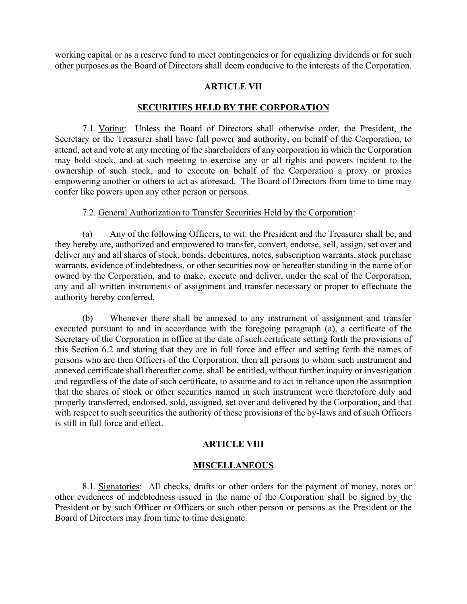working capital or as a reserve fund to meet contingencies or for equalizing dividends or for such other purposes as the Board of Directors shall deem conducive to the interests of the Corporation.

## **ARTICLE VII**

## **SECURITIES HELD BY THE CORPORATION**

7.1. Voting: Unless the Board of Directors shall otherwise order, the President, the Secretary or the Treasurer shall have full power and authority, on behalf of the Corporation, to attend, act and vote at any meeting of the shareholders of any corporation in which the Corporation may hold stock, and at such meeting to exercise any or all rights and powers incident to the ownership of such stock, and to execute on behalf of the Corporation a proxy or proxies empowering another or others to act as aforesaid. The Board of Directors from time to time may confer like powers upon any other person or persons.

#### 7.2. General Authorization to Transfer Securities Held by the Corporation:

(a) Any of the following Officers, to wit: the President and the Treasurer shall be, and they hereby are, authorized and empowered to transfer, convert, endorse, sell, assign, set over and deliver any and all shares of stock, bonds, debentures, notes, subscription warrants, stock purchase warrants, evidence of indebtedness, or other securities now or hereafter standing in the name of or owned by the Corporation, and to make, execute and deliver, under the seal of the Corporation, any and all written instruments of assignment and transfer necessary or proper to effectuate the authority hereby conferred.

(b) Whenever there shall be annexed to any instrument of assignment and transfer executed pursuant to and in accordance with the foregoing paragraph (a), a certificate of the Secretary of the Corporation in office at the date of such certificate setting forth the provisions of this Section 6.2 and stating that they are in full force and effect and setting forth the names of persons who are then Officers of the Corporation, then all persons to whom such instrument and annexed certificate shall thereafter come, shall be entitled, without further inquiry or investigation and regardless of the date of such certificate, to assume and to act in reliance upon the assumption that the shares of stock or other securities named in such instrument were theretofore duly and properly transferred, endorsed, sold, assigned, set over and delivered by the Corporation, and that with respect to such securities the authority of these provisions of the by-laws and of such Officers is still in full force and effect.

## **ARTICLE VIII**

#### **MISCELLANEOUS**

8.1. Signatories: All checks, drafts or other orders for the payment of money, notes or other evidences of indebtedness issued in the name of the Corporation shall be signed by the President or by such Officer or Officers or such other person or persons as the President or the Board of Directors may from time to time designate.